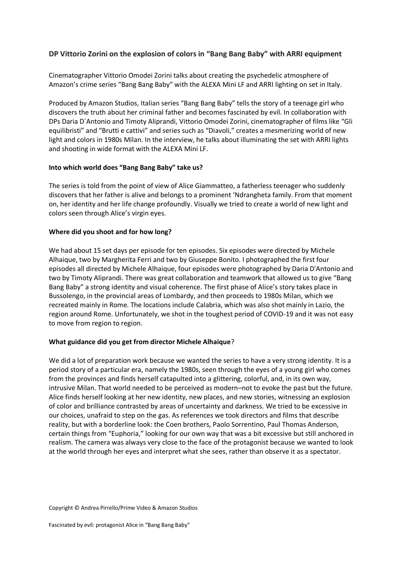# **DP Vittorio Zorini on the explosion of colors in "Bang Bang Baby" with ARRI equipment**

Cinematographer Vittorio Omodei Zorini talks about creating the psychedelic atmosphere of Amazon's crime series "Bang Bang Baby" with the ALEXA Mini LF and ARRI lighting on set in Italy.

Produced by Amazon Studios, Italian series "Bang Bang Baby" tells the story of a teenage girl who discovers the truth about her criminal father and becomes fascinated by evil. In collaboration with DPs Daria D´Antonio and Timoty Aliprandi, Vittorio Omodei Zorini, cinematographer of films like "Gli equilibristi" and "Brutti e cattivi" and series such as "Diavoli," creates a mesmerizing world of new light and colors in 1980s Milan. In the interview, he talks about illuminating the set with ARRI lights and shooting in wide format with the ALEXA Mini LF.

### **Into which world does "Bang Bang Baby" take us?**

The series is told from the point of view of Alice Giammatteo, a fatherless teenager who suddenly discovers that her father is alive and belongs to a prominent 'Ndrangheta family. From that moment on, her identity and her life change profoundly. Visually we tried to create a world of new light and colors seen through Alice's virgin eyes.

#### **Where did you shoot and for how long?**

We had about 15 set days per episode for ten episodes. Six episodes were directed by Michele Alhaique, two by Margherita Ferri and two by Giuseppe Bonito. I photographed the first four episodes all directed by Michele Alhaique, four episodes were photographed by Daria D'Antonio and two by Timoty Aliprandi. There was great collaboration and teamwork that allowed us to give "Bang Bang Baby" a strong identity and visual coherence. The first phase of Alice's story takes place in Bussolengo, in the provincial areas of Lombardy, and then proceeds to 1980s Milan, which we recreated mainly in Rome. The locations include Calabria, which was also shot mainly in Lazio, the region around Rome. Unfortunately, we shot in the toughest period of COVID-19 and it was not easy to move from region to region.

### **What guidance did you get from director Michele Alhaique**?

We did a lot of preparation work because we wanted the series to have a very strong identity. It is a period story of a particular era, namely the 1980s, seen through the eyes of a young girl who comes from the provinces and finds herself catapulted into a glittering, colorful, and, in its own way, intrusive Milan. That world needed to be perceived as modern–not to evoke the past but the future. Alice finds herself looking at her new identity, new places, and new stories, witnessing an explosion of color and brilliance contrasted by areas of uncertainty and darkness. We tried to be excessive in our choices, unafraid to step on the gas. As references we took directors and films that describe reality, but with a borderline look: the Coen brothers, Paolo Sorrentino, Paul Thomas Anderson, certain things from "Euphoria," looking for our own way that was a bit excessive but still anchored in realism. The camera was always very close to the face of the protagonist because we wanted to look at the world through her eyes and interpret what she sees, rather than observe it as a spectator.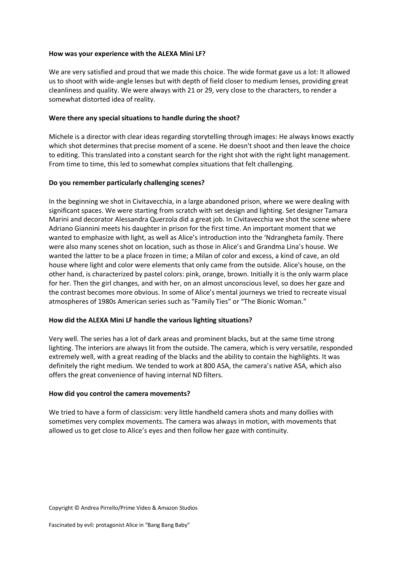### **How was your experience with the ALEXA Mini LF?**

We are very satisfied and proud that we made this choice. The wide format gave us a lot: It allowed us to shoot with wide-angle lenses but with depth of field closer to medium lenses, providing great cleanliness and quality. We were always with 21 or 29, very close to the characters, to render a somewhat distorted idea of reality.

### **Were there any special situations to handle during the shoot?**

Michele is a director with clear ideas regarding storytelling through images: He always knows exactly which shot determines that precise moment of a scene. He doesn't shoot and then leave the choice to editing. This translated into a constant search for the right shot with the right light management. From time to time, this led to somewhat complex situations that felt challenging.

#### **Do you remember particularly challenging scenes?**

In the beginning we shot in Civitavecchia, in a large abandoned prison, where we were dealing with significant spaces. We were starting from scratch with set design and lighting. Set designer Tamara Marini and decorator Alessandra Querzola did a great job. In Civitavecchia we shot the scene where Adriano Giannini meets his daughter in prison for the first time. An important moment that we wanted to emphasize with light, as well as Alice's introduction into the 'Ndrangheta family. There were also many scenes shot on location, such as those in Alice's and Grandma Lina's house. We wanted the latter to be a place frozen in time; a Milan of color and excess, a kind of cave, an old house where light and color were elements that only came from the outside. Alice's house, on the other hand, is characterized by pastel colors: pink, orange, brown. Initially it is the only warm place for her. Then the girl changes, and with her, on an almost unconscious level, so does her gaze and the contrast becomes more obvious. In some of Alice's mental journeys we tried to recreate visual atmospheres of 1980s American series such as "Family Ties" or "The Bionic Woman."

### **How did the ALEXA Mini LF handle the various lighting situations?**

Very well. The series has a lot of dark areas and prominent blacks, but at the same time strong lighting. The interiors are always lit from the outside. The camera, which is very versatile, responded extremely well, with a great reading of the blacks and the ability to contain the highlights. It was definitely the right medium. We tended to work at 800 ASA, the camera's native ASA, which also offers the great convenience of having internal ND filters.

#### **How did you control the camera movements?**

We tried to have a form of classicism: very little handheld camera shots and many dollies with sometimes very complex movements. The camera was always in motion, with movements that allowed us to get close to Alice's eyes and then follow her gaze with continuity.